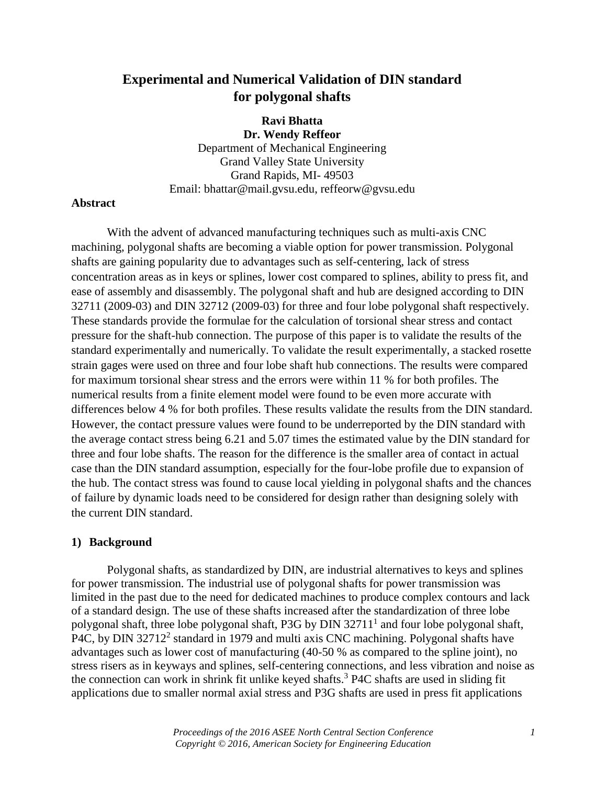# **Experimental and Numerical Validation of DIN standard for polygonal shafts**

**Ravi Bhatta Dr. Wendy Reffeor** Department of Mechanical Engineering Grand Valley State University Grand Rapids, MI- 49503 Email: bhattar@mail.gvsu.edu, reffeorw@gvsu.edu

#### **Abstract**

With the advent of advanced manufacturing techniques such as multi-axis CNC machining, polygonal shafts are becoming a viable option for power transmission. Polygonal shafts are gaining popularity due to advantages such as self-centering, lack of stress concentration areas as in keys or splines, lower cost compared to splines, ability to press fit, and ease of assembly and disassembly. The polygonal shaft and hub are designed according to DIN 32711 (2009-03) and DIN 32712 (2009-03) for three and four lobe polygonal shaft respectively. These standards provide the formulae for the calculation of torsional shear stress and contact pressure for the shaft-hub connection. The purpose of this paper is to validate the results of the standard experimentally and numerically. To validate the result experimentally, a stacked rosette strain gages were used on three and four lobe shaft hub connections. The results were compared for maximum torsional shear stress and the errors were within 11 % for both profiles. The numerical results from a finite element model were found to be even more accurate with differences below 4 % for both profiles. These results validate the results from the DIN standard. However, the contact pressure values were found to be underreported by the DIN standard with the average contact stress being 6.21 and 5.07 times the estimated value by the DIN standard for three and four lobe shafts. The reason for the difference is the smaller area of contact in actual case than the DIN standard assumption, especially for the four-lobe profile due to expansion of the hub. The contact stress was found to cause local yielding in polygonal shafts and the chances of failure by dynamic loads need to be considered for design rather than designing solely with the current DIN standard.

### **1) Background**

Polygonal shafts, as standardized by DIN, are industrial alternatives to keys and splines for power transmission. The industrial use of polygonal shafts for power transmission was limited in the past due to the need for dedicated machines to produce complex contours and lack of a standard design. The use of these shafts increased after the standardization of three lobe polygonal shaft, three lobe polygonal shaft, P3G by DIN 32711<sup>1</sup> and four lobe polygonal shaft, P4C, by DIN 32712<sup>2</sup> standard in 1979 and multi axis CNC machining. Polygonal shafts have advantages such as lower cost of manufacturing (40-50 % as compared to the spline joint), no stress risers as in keyways and splines, self-centering connections, and less vibration and noise as the connection can work in shrink fit unlike keyed shafts. <sup>3</sup> P4C shafts are used in sliding fit applications due to smaller normal axial stress and P3G shafts are used in press fit applications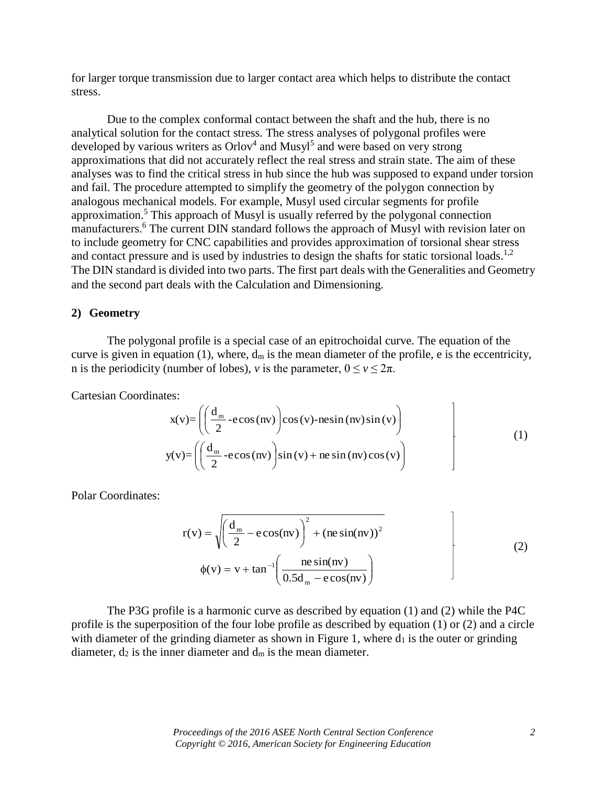for larger torque transmission due to larger contact area which helps to distribute the contact stress.

Due to the complex conformal contact between the shaft and the hub, there is no analytical solution for the contact stress. The stress analyses of polygonal profiles were developed by various writers as  $Orlov<sup>4</sup>$  and Musyl<sup>5</sup> and were based on very strong approximations that did not accurately reflect the real stress and strain state. The aim of these analyses was to find the critical stress in hub since the hub was supposed to expand under torsion and fail. The procedure attempted to simplify the geometry of the polygon connection by analogous mechanical models. For example, Musyl used circular segments for profile approximation.<sup>5</sup> This approach of Musyl is usually referred by the polygonal connection manufacturers.<sup>6</sup> The current DIN standard follows the approach of Musyl with revision later on to include geometry for CNC capabilities and provides approximation of torsional shear stress and contact pressure and is used by industries to design the shafts for static torsional loads.<sup>1,2</sup> The DIN standard is divided into two parts. The first part deals with the Generalities and Geometry and the second part deals with the Calculation and Dimensioning.

#### **2) Geometry**

The polygonal profile is a special case of an epitrochoidal curve. The equation of the curve is given in equation (1), where,  $d_m$  is the mean diameter of the profile, e is the eccentricity, n is the periodicity (number of lobes), *v* is the parameter,  $0 \le v \le 2\pi$ .

Cartesian Coordinates:

$$
x(v) = \left( \left( \frac{d_m}{2} - e \cos(nv) \right) \cos(v) - n e \sin(nv) \sin(v) \right)
$$
  
\n
$$
y(v) = \left( \left( \frac{d_m}{2} - e \cos(nv) \right) \sin(v) + n e \sin(nv) \cos(v) \right)
$$
\n(1)

 $\overline{1}$ 

Polar Coordinates:

$$
r(v) = \sqrt{\left(\frac{d_m}{2} - e \cos(nv)\right)^2 + (ne \sin(nv))^2}
$$
  
\n
$$
\phi(v) = v + \tan^{-1}\left(\frac{ne \sin(nv)}{0.5d_m - e \cos(nv)}\right)
$$
\n(2)

The P3G profile is a harmonic curve as described by equation (1) and (2) while the P4C profile is the superposition of the four lobe profile as described by equation (1) or (2) and a circle with diameter of the grinding diameter as shown in Figure 1, where  $d_1$  is the outer or grinding diameter,  $d_2$  is the inner diameter and  $d_m$  is the mean diameter.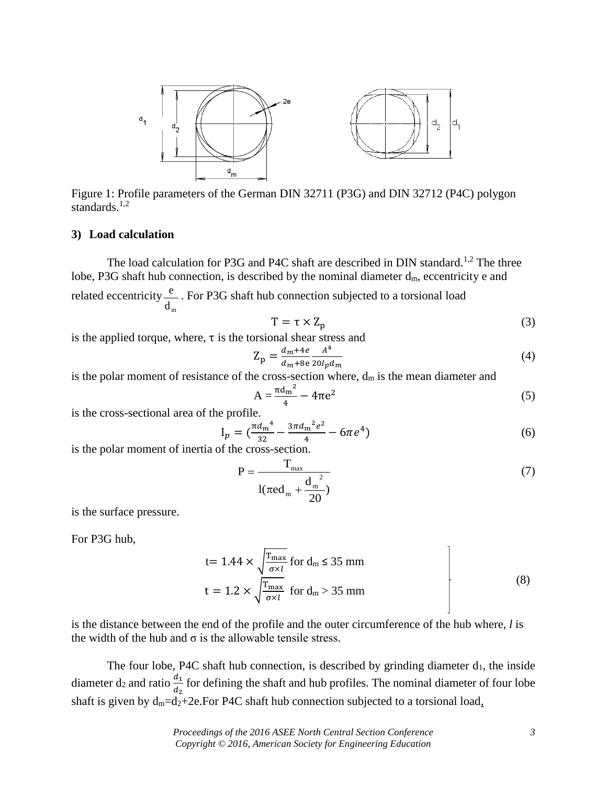

Figure 1: Profile parameters of the German DIN 32711 (P3G) and DIN 32712 (P4C) polygon standards.<sup>1,2</sup>

### **3) Load calculation**

The load calculation for P3G and P4C shaft are described in DIN standard.<sup>1,2</sup> The three lobe, P3G shaft hub connection, is described by the nominal diameter  $d_m$ , eccentricity e and related eccentricity  $d_{m}$ e . For P3G shaft hub connection subjected to a torsional load

$$
T = \tau \times Z_p \tag{3}
$$

is the applied torque, where,  $\tau$  is the torsional shear stress and

$$
Z_p = \frac{d_m + 4e}{d_m + 8e} \frac{A^4}{20l_p d_m} \tag{4}
$$

is the polar moment of resistance of the cross-section where,  $d_m$  is the mean diameter and

$$
A = \frac{\pi d_m^2}{4} - 4\pi e^2 \tag{5}
$$

is the cross-sectional area of the profile.

$$
I_p = \left(\frac{\pi d_m^4}{32} - \frac{3\pi d_m^2 e^2}{4} - 6\pi e^4\right)
$$
 (6)

is the polar moment of inertia of the cross-section.

$$
P = \frac{T_{\text{max}}}{1(\pi \text{ed}_{\text{m}} + \frac{d_{\text{m}}^2}{20})}
$$
(7)

is the surface pressure.

For P3G hub,

$$
t = 1.44 \times \sqrt{\frac{T_{\text{max}}}{\sigma \times l}} \text{ for } d_{\text{m}} \le 35 \text{ mm}
$$
  

$$
t = 1.2 \times \sqrt{\frac{T_{\text{max}}}{\sigma \times l}} \text{ for } d_{\text{m}} > 35 \text{ mm}
$$
 (8)

is the distance between the end of the profile and the outer circumference of the hub where, *l* is the width of the hub and  $\sigma$  is the allowable tensile stress.

The four lobe, P4C shaft hub connection, is described by grinding diameter  $d_1$ , the inside diameter  $d_2$  and ratio  $\frac{d_1}{d_2}$  for defining the shaft and hub profiles. The nominal diameter of four lobe shaft is given by  $d_m = d_2 + 2e$ . For P4C shaft hub connection subjected to a torsional load,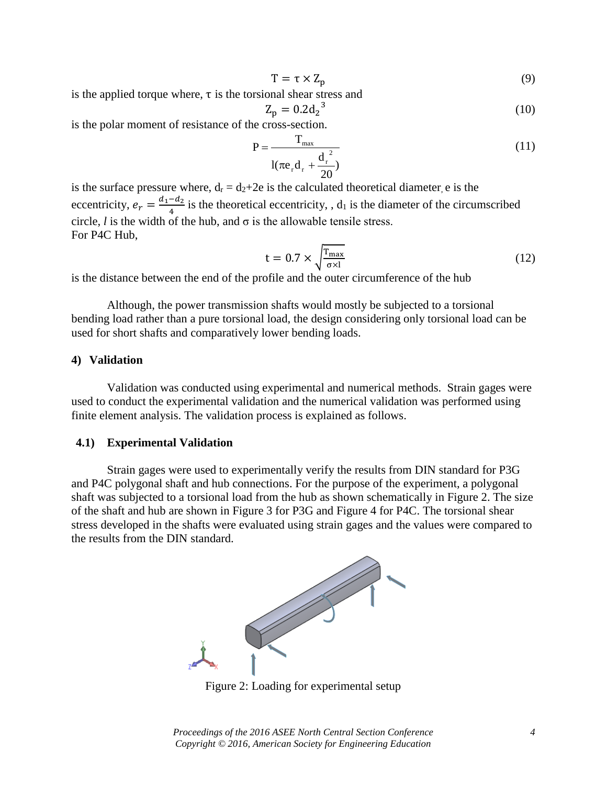$$
T = \tau \times Z_p \tag{9}
$$

is the applied torque where,  $\tau$  is the torsional shear stress and

$$
Z_p = 0.2d_2^{3}
$$
 (10)

is the polar moment of resistance of the cross-section.

$$
P = \frac{T_{\text{max}}}{1(\pi e_r d_r + \frac{d_r^2}{20})}
$$
(11)

is the surface pressure where,  $d_r = d_2+2e$  is the calculated theoretical diameter, e is the eccentricity,  $e_r = \frac{d_1 - d_2}{4}$  $\frac{-u_2}{4}$  is the theoretical eccentricity, ,  $d_1$  is the diameter of the circumscribed circle, *l* is the width of the hub, and  $\sigma$  is the allowable tensile stress. For P4C Hub,

$$
t = 0.7 \times \sqrt{\frac{T_{\text{max}}}{\sigma \times 1}}
$$
 (12)

is the distance between the end of the profile and the outer circumference of the hub

Although, the power transmission shafts would mostly be subjected to a torsional bending load rather than a pure torsional load, the design considering only torsional load can be used for short shafts and comparatively lower bending loads.

### **4) Validation**

Validation was conducted using experimental and numerical methods. Strain gages were used to conduct the experimental validation and the numerical validation was performed using finite element analysis. The validation process is explained as follows.

#### **4.1) Experimental Validation**

Strain gages were used to experimentally verify the results from DIN standard for P3G and P4C polygonal shaft and hub connections. For the purpose of the experiment, a polygonal shaft was subjected to a torsional load from the hub as shown schematically in Figure 2. The size of the shaft and hub are shown in Figure 3 for P3G and Figure 4 for P4C. The torsional shear stress developed in the shafts were evaluated using strain gages and the values were compared to the results from the DIN standard.



Figure 2: Loading for experimental setup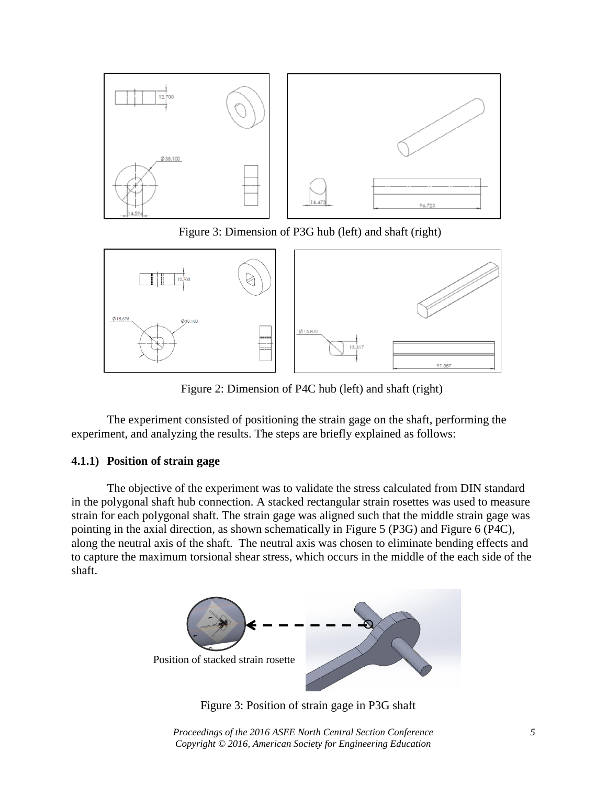

Figure 3: Dimension of P3G hub (left) and shaft (right)



Figure 2: Dimension of P4C hub (left) and shaft (right)

The experiment consisted of positioning the strain gage on the shaft, performing the experiment, and analyzing the results. The steps are briefly explained as follows:

## **4.1.1) Position of strain gage**

The objective of the experiment was to validate the stress calculated from DIN standard in the polygonal shaft hub connection. A stacked rectangular strain rosettes was used to measure strain for each polygonal shaft. The strain gage was aligned such that the middle strain gage was pointing in the axial direction, as shown schematically in Figure 5 (P3G) and Figure 6 (P4C), along the neutral axis of the shaft. The neutral axis was chosen to eliminate bending effects and to capture the maximum torsional shear stress, which occurs in the middle of the each side of the shaft.



Figure 3: Position of strain gage in P3G shaft

*Proceedings of the 2016 ASEE North Central Section Conference 5 Copyright © 2016, American Society for Engineering Education*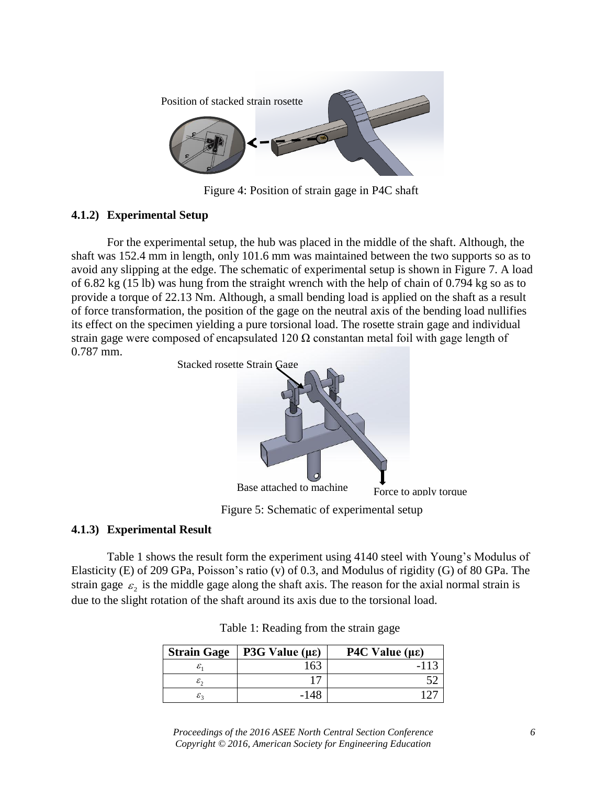

Figure 4: Position of strain gage in P4C shaft

## **4.1.2) Experimental Setup**

For the experimental setup, the hub was placed in the middle of the shaft. Although, the shaft was 152.4 mm in length, only 101.6 mm was maintained between the two supports so as to avoid any slipping at the edge. The schematic of experimental setup is shown in Figure 7. A load of 6.82 kg (15 lb) was hung from the straight wrench with the help of chain of 0.794 kg so as to provide a torque of 22.13 Nm. Although, a small bending load is applied on the shaft as a result of force transformation, the position of the gage on the neutral axis of the bending load nullifies its effect on the specimen yielding a pure torsional load. The rosette strain gage and individual strain gage were composed of encapsulated 120  $\Omega$  constantan metal foil with gage length of 0.787 mm.



## **4.1.3) Experimental Result**

Table 1 shows the result form the experiment using 4140 steel with Young's Modulus of Elasticity (E) of 209 GPa, Poisson's ratio (v) of 0.3, and Modulus of rigidity (G) of 80 GPa. The strain gage  $\varepsilon_2$  is the middle gage along the shaft axis. The reason for the axial normal strain is due to the slight rotation of the shaft around its axis due to the torsional load.

| <b>Strain Gage</b>     | P3G Value ( $\mu \varepsilon$ ) | P4C Value $(\mu \varepsilon)$ |
|------------------------|---------------------------------|-------------------------------|
| ε,                     |                                 |                               |
| $\varepsilon_{\gamma}$ |                                 |                               |
| ${\cal E}$             | -148                            |                               |

Table 1: Reading from the strain gage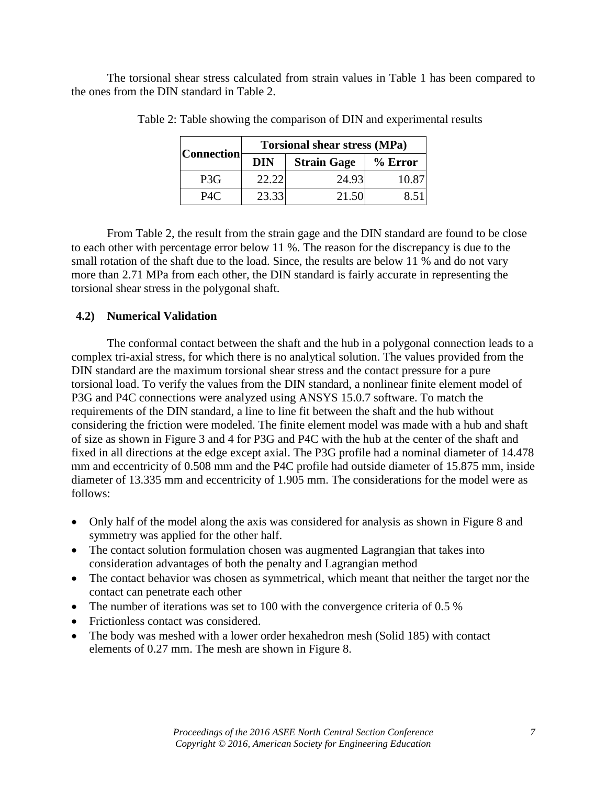The torsional shear stress calculated from strain values in Table 1 has been compared to the ones from the DIN standard in Table 2.

| <b>Connection</b> | <b>Torsional shear stress (MPa)</b> |                    |         |  |  |
|-------------------|-------------------------------------|--------------------|---------|--|--|
|                   | <b>DIN</b>                          | <b>Strain Gage</b> | % Error |  |  |
| P <sub>3</sub> G  | 22.22                               | 24.93              | 10 87   |  |  |
| P4C               | 23.33                               | 21.50              | 85'     |  |  |

Table 2: Table showing the comparison of DIN and experimental results

From Table 2, the result from the strain gage and the DIN standard are found to be close to each other with percentage error below 11 %. The reason for the discrepancy is due to the small rotation of the shaft due to the load. Since, the results are below 11 % and do not vary more than 2.71 MPa from each other, the DIN standard is fairly accurate in representing the torsional shear stress in the polygonal shaft.

## **4.2) Numerical Validation**

The conformal contact between the shaft and the hub in a polygonal connection leads to a complex tri-axial stress, for which there is no analytical solution. The values provided from the DIN standard are the maximum torsional shear stress and the contact pressure for a pure torsional load. To verify the values from the DIN standard, a nonlinear finite element model of P3G and P4C connections were analyzed using ANSYS 15.0.7 software. To match the requirements of the DIN standard, a line to line fit between the shaft and the hub without considering the friction were modeled. The finite element model was made with a hub and shaft of size as shown in Figure 3 and 4 for P3G and P4C with the hub at the center of the shaft and fixed in all directions at the edge except axial. The P3G profile had a nominal diameter of 14.478 mm and eccentricity of 0.508 mm and the P4C profile had outside diameter of 15.875 mm, inside diameter of 13.335 mm and eccentricity of 1.905 mm. The considerations for the model were as follows:

- Only half of the model along the axis was considered for analysis as shown in Figure 8 and symmetry was applied for the other half.
- The contact solution formulation chosen was augmented Lagrangian that takes into consideration advantages of both the penalty and Lagrangian method
- The contact behavior was chosen as symmetrical, which meant that neither the target nor the contact can penetrate each other
- The number of iterations was set to 100 with the convergence criteria of 0.5 %
- Frictionless contact was considered.
- The body was meshed with a lower order hexahedron mesh (Solid 185) with contact elements of 0.27 mm. The mesh are shown in Figure 8.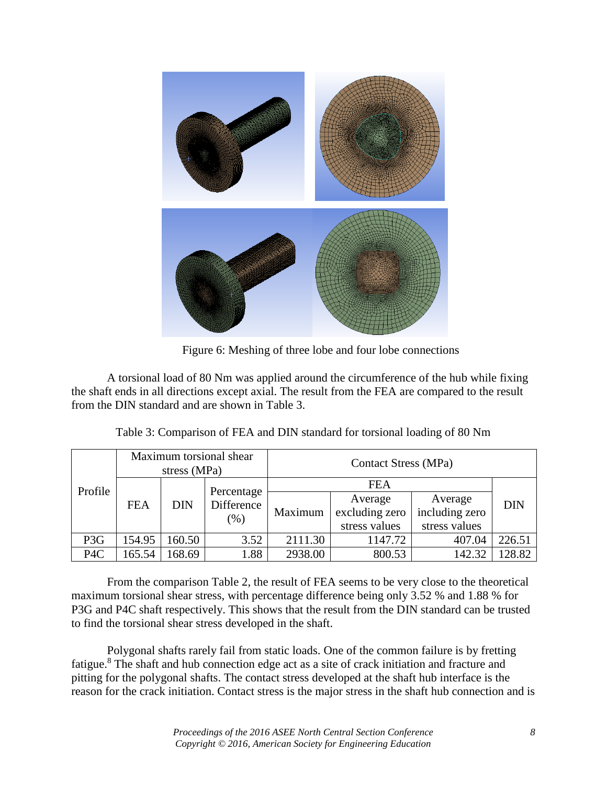

Figure 6: Meshing of three lobe and four lobe connections

A torsional load of 80 Nm was applied around the circumference of the hub while fixing the shaft ends in all directions except axial. The result from the FEA are compared to the result from the DIN standard and are shown in Table 3.

| Profile          | Maximum torsional shear<br>stress (MPa) |        | <b>Contact Stress (MPa)</b>     |         |                |                |            |
|------------------|-----------------------------------------|--------|---------------------------------|---------|----------------|----------------|------------|
|                  | <b>FEA</b><br><b>DIN</b>                |        | <b>FEA</b>                      |         |                |                |            |
|                  |                                         |        | Percentage<br>Difference<br>(%) | Maximum | Average        | Average        | <b>DIN</b> |
|                  |                                         |        |                                 |         | excluding zero | including zero |            |
|                  |                                         |        |                                 |         | stress values  | stress values  |            |
| P <sub>3</sub> G | 154.95                                  | 160.50 | 3.52                            | 2111.30 | 1147.72        | 407.04         | 226.51     |
| P <sub>4</sub> C | 165.54                                  | 168.69 | 1.88                            | 2938.00 | 800.53         | 142.32         | 128.82     |

Table 3: Comparison of FEA and DIN standard for torsional loading of 80 Nm

From the comparison Table 2, the result of FEA seems to be very close to the theoretical maximum torsional shear stress, with percentage difference being only 3.52 % and 1.88 % for P3G and P4C shaft respectively. This shows that the result from the DIN standard can be trusted to find the torsional shear stress developed in the shaft.

Polygonal shafts rarely fail from static loads. One of the common failure is by fretting fatigue.<sup>8</sup> The shaft and hub connection edge act as a site of crack initiation and fracture and pitting for the polygonal shafts. The contact stress developed at the shaft hub interface is the reason for the crack initiation. Contact stress is the major stress in the shaft hub connection and is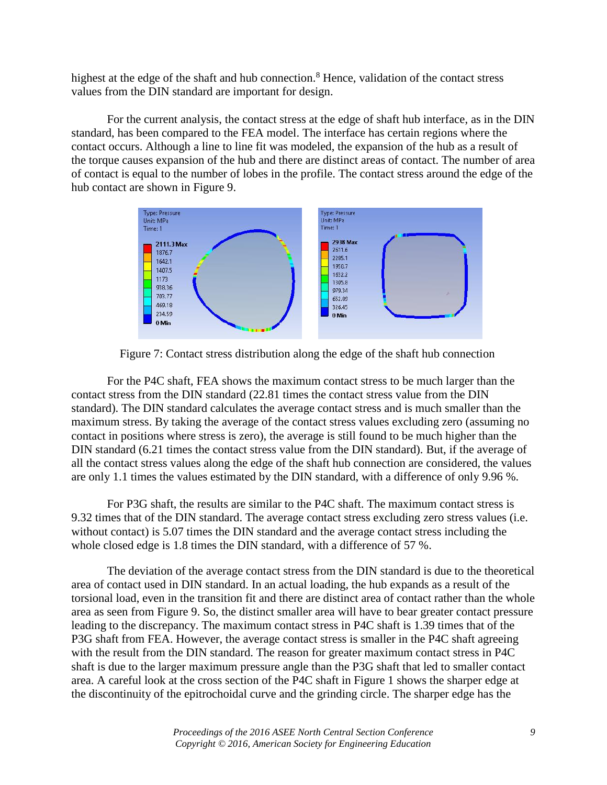highest at the edge of the shaft and hub connection.<sup>8</sup> Hence, validation of the contact stress values from the DIN standard are important for design.

For the current analysis, the contact stress at the edge of shaft hub interface, as in the DIN standard, has been compared to the FEA model. The interface has certain regions where the contact occurs. Although a line to line fit was modeled, the expansion of the hub as a result of the torque causes expansion of the hub and there are distinct areas of contact. The number of area of contact is equal to the number of lobes in the profile. The contact stress around the edge of the hub contact are shown in Figure 9.



Figure 7: Contact stress distribution along the edge of the shaft hub connection

For the P4C shaft, FEA shows the maximum contact stress to be much larger than the contact stress from the DIN standard (22.81 times the contact stress value from the DIN standard). The DIN standard calculates the average contact stress and is much smaller than the maximum stress. By taking the average of the contact stress values excluding zero (assuming no contact in positions where stress is zero), the average is still found to be much higher than the DIN standard (6.21 times the contact stress value from the DIN standard). But, if the average of all the contact stress values along the edge of the shaft hub connection are considered, the values are only 1.1 times the values estimated by the DIN standard, with a difference of only 9.96 %.

For P3G shaft, the results are similar to the P4C shaft. The maximum contact stress is 9.32 times that of the DIN standard. The average contact stress excluding zero stress values (i.e. without contact) is 5.07 times the DIN standard and the average contact stress including the whole closed edge is 1.8 times the DIN standard, with a difference of 57 %.

The deviation of the average contact stress from the DIN standard is due to the theoretical area of contact used in DIN standard. In an actual loading, the hub expands as a result of the torsional load, even in the transition fit and there are distinct area of contact rather than the whole area as seen from Figure 9. So, the distinct smaller area will have to bear greater contact pressure leading to the discrepancy. The maximum contact stress in P4C shaft is 1.39 times that of the P3G shaft from FEA. However, the average contact stress is smaller in the P4C shaft agreeing with the result from the DIN standard. The reason for greater maximum contact stress in P4C shaft is due to the larger maximum pressure angle than the P3G shaft that led to smaller contact area. A careful look at the cross section of the P4C shaft in Figure 1 shows the sharper edge at the discontinuity of the epitrochoidal curve and the grinding circle. The sharper edge has the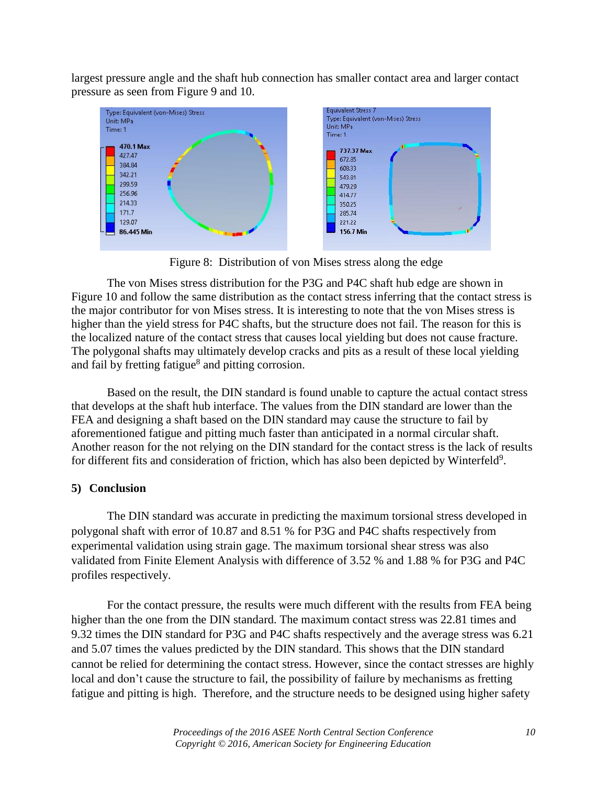largest pressure angle and the shaft hub connection has smaller contact area and larger contact pressure as seen from Figure 9 and 10.



Figure 8: Distribution of von Mises stress along the edge

The von Mises stress distribution for the P3G and P4C shaft hub edge are shown in Figure 10 and follow the same distribution as the contact stress inferring that the contact stress is the major contributor for von Mises stress. It is interesting to note that the von Mises stress is higher than the yield stress for P4C shafts, but the structure does not fail. The reason for this is the localized nature of the contact stress that causes local yielding but does not cause fracture. The polygonal shafts may ultimately develop cracks and pits as a result of these local yielding and fail by fretting fatigue<sup>8</sup> and pitting corrosion.

Based on the result, the DIN standard is found unable to capture the actual contact stress that develops at the shaft hub interface. The values from the DIN standard are lower than the FEA and designing a shaft based on the DIN standard may cause the structure to fail by aforementioned fatigue and pitting much faster than anticipated in a normal circular shaft. Another reason for the not relying on the DIN standard for the contact stress is the lack of results for different fits and consideration of friction, which has also been depicted by Winterfeld<sup>9</sup>.

## **5) Conclusion**

The DIN standard was accurate in predicting the maximum torsional stress developed in polygonal shaft with error of 10.87 and 8.51 % for P3G and P4C shafts respectively from experimental validation using strain gage. The maximum torsional shear stress was also validated from Finite Element Analysis with difference of 3.52 % and 1.88 % for P3G and P4C profiles respectively.

For the contact pressure, the results were much different with the results from FEA being higher than the one from the DIN standard. The maximum contact stress was 22.81 times and 9.32 times the DIN standard for P3G and P4C shafts respectively and the average stress was 6.21 and 5.07 times the values predicted by the DIN standard. This shows that the DIN standard cannot be relied for determining the contact stress. However, since the contact stresses are highly local and don't cause the structure to fail, the possibility of failure by mechanisms as fretting fatigue and pitting is high. Therefore, and the structure needs to be designed using higher safety